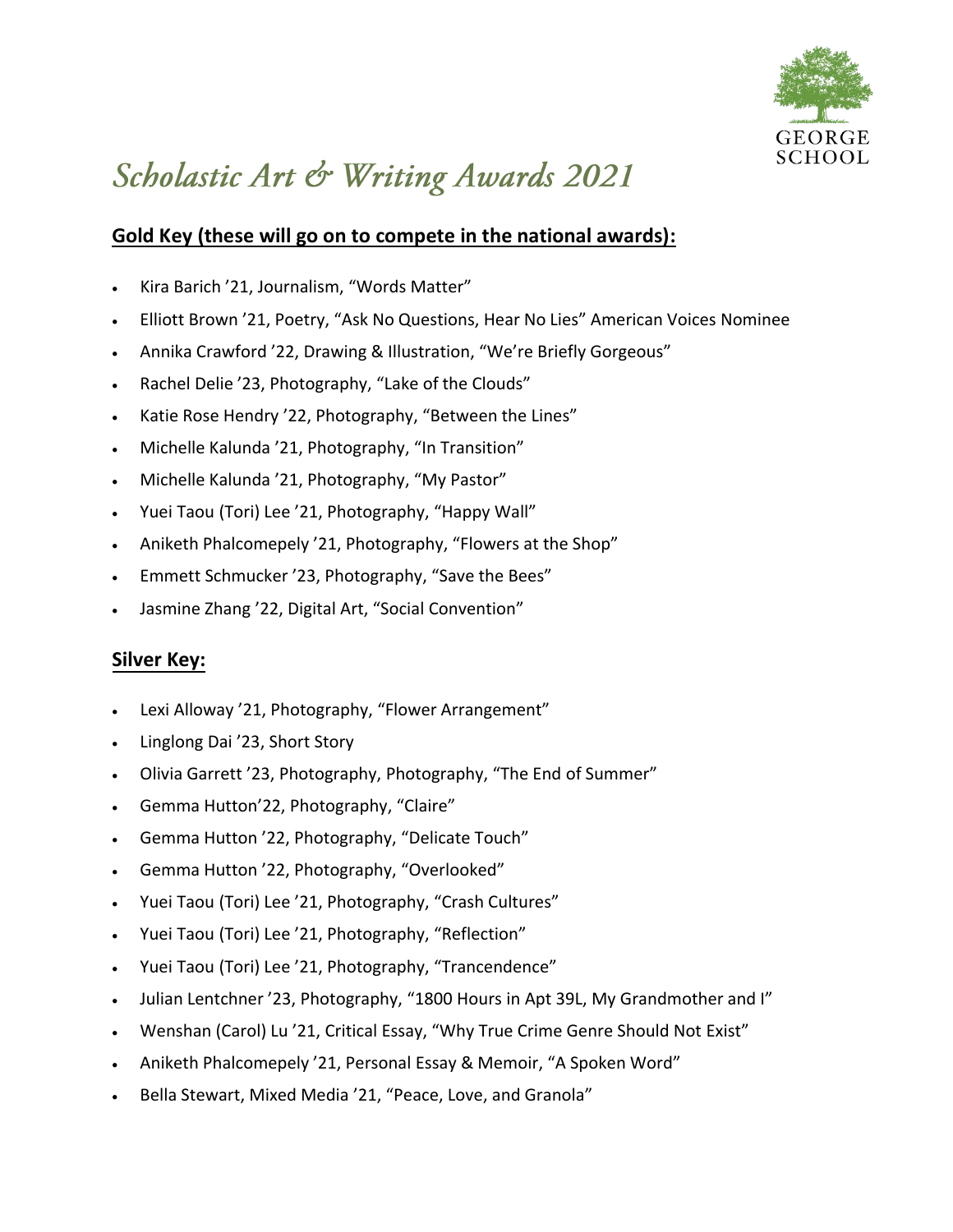

## Scholastic Art & Writing Awards 2021

## **Gold Key (these will go on to compete in the national awards):**

- Kira Barich '21, Journalism, "Words Matter"
- Elliott Brown '21, Poetry, "Ask No Questions, Hear No Lies" American Voices Nominee
- Annika Crawford '22, Drawing & Illustration, "We're Briefly Gorgeous"
- Rachel Delie '23, Photography, "Lake of the Clouds"
- Katie Rose Hendry '22, Photography, "Between the Lines"
- Michelle Kalunda '21, Photography, "In Transition"
- Michelle Kalunda '21, Photography, "My Pastor"
- Yuei Taou (Tori) Lee '21, Photography, "Happy Wall"
- Aniketh Phalcomepely '21, Photography, "Flowers at the Shop"
- Emmett Schmucker '23, Photography, "Save the Bees"
- Jasmine Zhang '22, Digital Art, "Social Convention"

## **Silver Key:**

- Lexi Alloway '21, Photography, "Flower Arrangement"
- Linglong Dai '23, Short Story
- Olivia Garrett '23, Photography, Photography, "The End of Summer"
- Gemma Hutton'22, Photography, "Claire"
- Gemma Hutton '22, Photography, "Delicate Touch"
- Gemma Hutton '22, Photography, "Overlooked"
- Yuei Taou (Tori) Lee '21, Photography, "Crash Cultures"
- Yuei Taou (Tori) Lee '21, Photography, "Reflection"
- Yuei Taou (Tori) Lee '21, Photography, "Trancendence"
- Julian Lentchner '23, Photography, "1800 Hours in Apt 39L, My Grandmother and I"
- Wenshan (Carol) Lu '21, Critical Essay, "Why True Crime Genre Should Not Exist"
- Aniketh Phalcomepely '21, Personal Essay & Memoir, "A Spoken Word"
- Bella Stewart, Mixed Media '21, "Peace, Love, and Granola"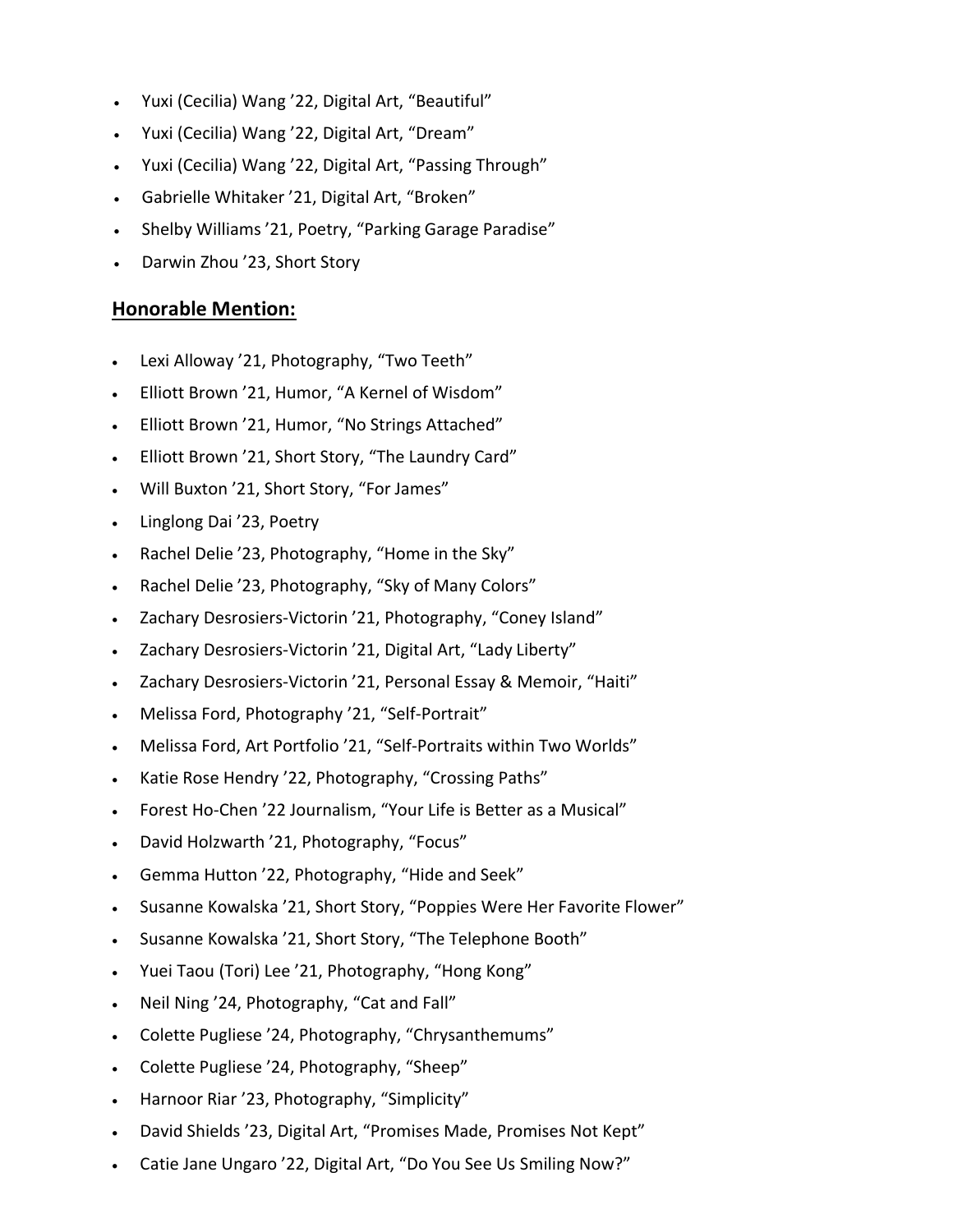- Yuxi (Cecilia) Wang '22, Digital Art, "Beautiful"
- Yuxi (Cecilia) Wang '22, Digital Art, "Dream"
- Yuxi (Cecilia) Wang '22, Digital Art, "Passing Through"
- Gabrielle Whitaker '21, Digital Art, "Broken"
- Shelby Williams '21, Poetry, "Parking Garage Paradise"
- Darwin Zhou '23, Short Story

## **Honorable Mention:**

- Lexi Alloway '21, Photography, "Two Teeth"
- Elliott Brown '21, Humor, "A Kernel of Wisdom"
- Elliott Brown '21, Humor, "No Strings Attached"
- Elliott Brown '21, Short Story, "The Laundry Card"
- Will Buxton '21, Short Story, "For James"
- Linglong Dai '23, Poetry
- Rachel Delie '23, Photography, "Home in the Sky"
- Rachel Delie '23, Photography, "Sky of Many Colors"
- Zachary Desrosiers-Victorin '21, Photography, "Coney Island"
- Zachary Desrosiers-Victorin '21, Digital Art, "Lady Liberty"
- Zachary Desrosiers-Victorin '21, Personal Essay & Memoir, "Haiti"
- Melissa Ford, Photography '21, "Self-Portrait"
- Melissa Ford, Art Portfolio '21, "Self-Portraits within Two Worlds"
- Katie Rose Hendry '22, Photography, "Crossing Paths"
- Forest Ho-Chen '22 Journalism, "Your Life is Better as a Musical"
- David Holzwarth '21, Photography, "Focus"
- Gemma Hutton '22, Photography, "Hide and Seek"
- Susanne Kowalska '21, Short Story, "Poppies Were Her Favorite Flower"
- Susanne Kowalska '21, Short Story, "The Telephone Booth"
- Yuei Taou (Tori) Lee '21, Photography, "Hong Kong"
- Neil Ning '24, Photography, "Cat and Fall"
- Colette Pugliese '24, Photography, "Chrysanthemums"
- Colette Pugliese '24, Photography, "Sheep"
- Harnoor Riar '23, Photography, "Simplicity"
- David Shields '23, Digital Art, "Promises Made, Promises Not Kept"
- Catie Jane Ungaro '22, Digital Art, "Do You See Us Smiling Now?"